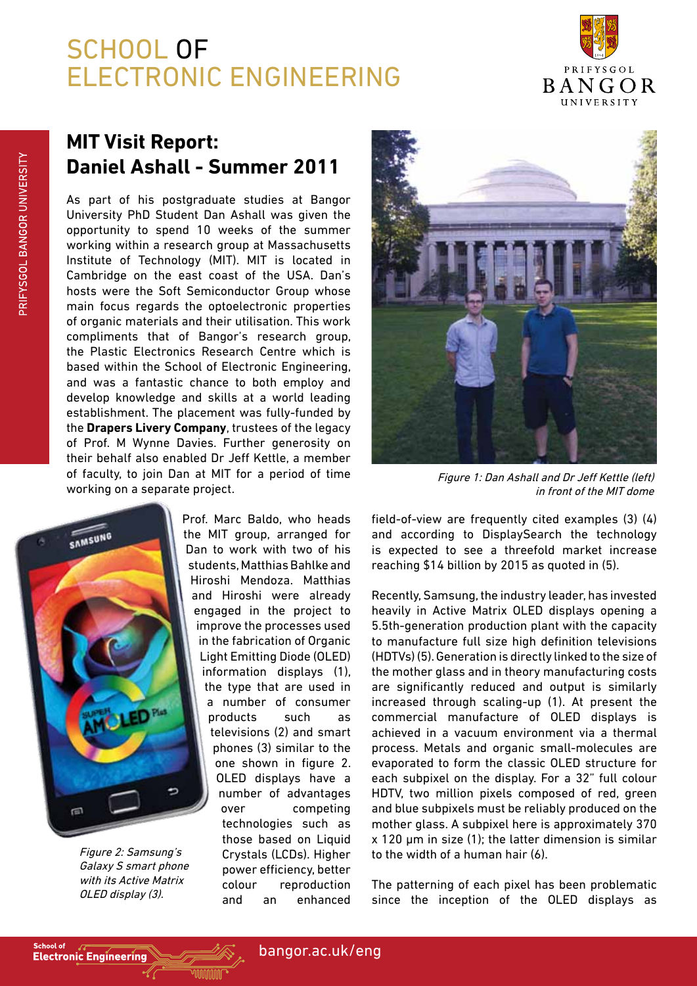## SCHOOL OF ELECTRONIC ENGINEERING



## **MIT Visit Report: Daniel Ashall - Summer 2011**

As part of his postgraduate studies at Bangor University PhD Student Dan Ashall was given the opportunity to spend 10 weeks of the summer working within a research group at Massachusetts Institute of Technology (MIT). MIT is located in Cambridge on the east coast of the USA. Dan's hosts were the Soft Semiconductor Group whose main focus regards the optoelectronic properties of organic materials and their utilisation. This work compliments that of Bangor's research group, the Plastic Electronics Research Centre which is based within the School of Electronic Engineering, and was a fantastic chance to both employ and develop knowledge and skills at a world leading establishment. The placement was fully-funded by the **Drapers Livery Company**, trustees of the legacy of Prof. M Wynne Davies. Further generosity on their behalf also enabled Dr Jeff Kettle, a member of faculty, to join Dan at MIT for a period of time working on a separate project.



Figure 2: Samsung's Galaxy S smart phone with its Active Matrix OLED display (3).

Prof. Marc Baldo, who heads the MIT group, arranged for Dan to work with two of his students, Matthias Bahlke and Hiroshi Mendoza. Matthias and Hiroshi were already engaged in the project to improve the processes used in the fabrication of Organic Light Emitting Diode (OLED) information displays (1), the type that are used in a number of consumer products such as televisions (2) and smart phones (3) similar to the one shown in figure 2. OLED displays have a number of advantages over competing technologies such as those based on Liquid Crystals (LCDs). Higher power efficiency, better colour reproduction and an enhanced



Figure 1: Dan Ashall and Dr Jeff Kettle (left) in front of the MIT dome

field-of-view are frequently cited examples (3) (4) and according to DisplaySearch the technology is expected to see a threefold market increase reaching \$14 billion by 2015 as quoted in (5).

Recently, Samsung, the industry leader, has invested heavily in Active Matrix OLED displays opening a 5.5th-generation production plant with the capacity to manufacture full size high definition televisions (HDTVs) (5). Generation is directly linked to the size of the mother glass and in theory manufacturing costs are significantly reduced and output is similarly increased through scaling-up (1). At present the commercial manufacture of OLED displays is achieved in a vacuum environment via a thermal process. Metals and organic small-molecules are evaporated to form the classic OLED structure for each subpixel on the display. For a 32" full colour HDTV, two million pixels composed of red, green and blue subpixels must be reliably produced on the mother glass. A subpixel here is approximately 370 x 120 µm in size (1); the latter dimension is similar to the width of a human hair (6).

The patterning of each pixel has been problematic since the inception of the OLED displays as